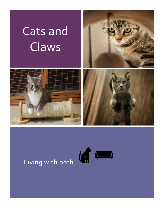## Cats and Claws







# Living with both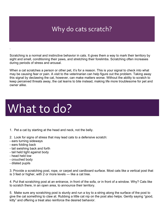### Why do cats scratch?

Scratching is a normal and instinctive behavior in cats. It gives them a way to mark their territory by sight and smell, conditioning their paws, and stretching their forelimbs. Scratching often increases during periods of stress and arousal.

When a cat scratches a person or other pet, it's for a reason. This is your signal to check into what may be causing fear or pain. A visit to the veterinarian can help figure out the problem. Taking away this signal by declawing the cat, however, can make matters worse. Without the ability to scratch to keep perceived threats away, the cat learns to bite instead, making life more troublesome for pet and owner alike.

## What to do?

- 1. Pet a cat by starting at the head and neck, not the belly.
- 2. Look for signs of stress that may lead cats to a defensive scratch:
- ears turning sideways
- ears folding back
- tail swishing back and forth
- tail held tight against body
- head held low

.

- crouched body
- dilated pupils

3. Provide a scratching post, rope, or carpet and cardboard surface. Most cats like a vertical post that is 3 feet or higher, with 2 or more levels — like a cat tree.

4. Put that scratching post at an entrance, in front of the sofa, or in front of a window. Why? Cats like to scratch there, in an open area, to announce their territory.

5. Make sure any scratching post is sturdy and run a toy to a string along the surface of the post to give the cat something to claw at. Rubbing a little cat nip on the post also helps. Gently saying "good, kitty" and offering a treat also reinforce the desired behavior.